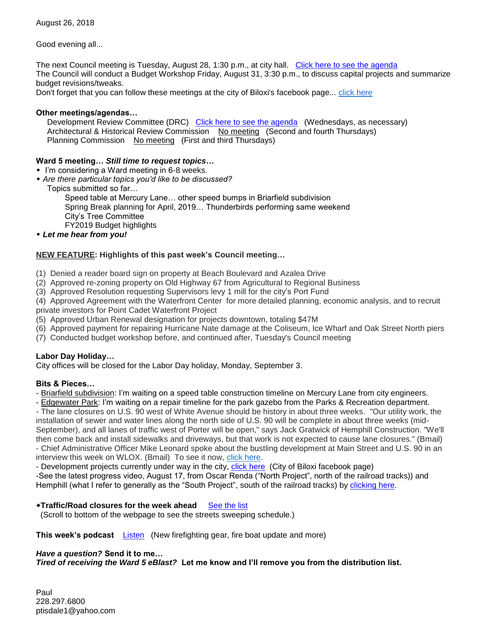Good evening all...

The next Council meeting is Tuesday, August 28, 1:30 p.m., at city hall. [Click here to see the agenda](https://www.biloxi.ms.us/agendas/citycouncil/2018/082818/082818agenda.pdf) The Council will conduct a Budget Workshop Friday, August 31, 3:30 p.m., to discuss capital projects and summarize budget revisions/tweaks.

Don't forget that you can follow these meetings at the city of Biloxi's facebook page... [click here](https://www.facebook.com/cobiloxi)

## **Other meetings/agendas…**

Development Review Committee (DRC) [Click here to see the agenda](https://www.biloxi.ms.us/agendas/DRC/2018/DRC-2018-08-29.pdf) (Wednesdays, as necessary) Architectural & Historical Review Commission No meeting (Second and fourth Thursdays) Planning Commission No meeting (First and third Thursdays)

# **Ward 5 meeting…** *Still time to request topics***…**

- I'm considering a Ward meeting in 6-8 weeks.
- *Are there particular topics you'd like to be discussed?*
	- Topics submitted so far…

Speed table at Mercury Lane… other speed bumps in Briarfield subdivision Spring Break planning for April, 2019… Thunderbirds performing same weekend City's Tree Committee FY2019 Budget highlights

*Let me hear from you!*

# **NEW FEATURE: Highlights of this past week's Council meeting…**

- (1) Denied a reader board sign on property at Beach Boulevard and Azalea Drive
- (2) Approved re-zoning property on Old Highway 67 from Agricultural to Regional Business
- (3) Approved Resolution requesting Supervisors levy 1 mill for the city's Port Fund

(4) Approved Agreement with the Waterfront Center for more detailed planning, economic analysis, and to recruit private investors for Point Cadet Waterfront Project

- (5) Approved Urban Renewal designation for projects downtown, totaling \$47M
- (6) Approved payment for repairing Hurricane Nate damage at the Coliseum, Ice Wharf and Oak Street North piers
- (7) Conducted budget workshop before, and continued after, Tuesday's Council meeting

#### **Labor Day Holiday…**

City offices will be closed for the Labor Day holiday, Monday, September 3.

#### **Bits & Pieces…**

- Briarfield subdivision: I'm waiting on a speed table construction timeline on Mercury Lane from city engineers.

- Edgewater Park: I'm waiting on a repair timeline for the park gazebo from the Parks & Recreation department.

- The lane closures on U.S. 90 west of White Avenue should be history in about three weeks. "Our utility work, the installation of sewer and water lines along the north side of U.S. 90 will be complete in about three weeks (mid-September), and all lanes of traffic west of Porter will be open," says Jack Gratwick of Hemphill Construction. "We'll then come back and install sidewalks and driveways, but that work is not expected to cause lane closures." (Bmail) - Chief Administrative Officer Mike Leonard spoke about the bustling development at Main Street and U.S. 90 in an interview this week on WLOX. (Bmail) To see it now, [click here.](http://r20.rs6.net/tn.jsp?f=001IxNl8Hzq3g4CNjIyJpKs78ZYOMD470M7FnNtWHc4KepeXTHE4nmmFZxC7Q6KVN8iRyx0-3RKc9xnl-OIr1sHYDRyXz1LiXBzsGVG-mEK5TVsEUIByI0F9U6HerjP02gE3t6hYZgd2EO2nLDpmD4SoBk92g7BwKV_UEGGLvc1ITJGEgEVMEUJED6x6I7jlSa51WbUO226QkKxccblHRNPttps1cuTSGJ62DCIUyZrGH2LoQPyfuFDF6oHvcCPc733nqt8GoYk9mjQHbqx18VMz9ZE4RvOj5DvvQM2PgmToLE=&c=R_C77KexAriAxpS6gLaaI6eq05tYTk28ssposhaPARbNJCNgGJxA5w==&ch=9yxR9H6CCtrpPP4_MzWRuvGMQvIsjyq9aWY8GskDePt2cT-kIr_-wQ==)

- Development projects currently under way in the city, [click here](https://www.facebook.com/pg/cobiloxi/photos/?tab=album&album_id=2298528146842248) (City of Biloxi facebook page)

-See the latest progress video, August 17, from Oscar Renda ("North Project", north of the railroad tracks)) and Hemphill (what I refer to generally as the "South Project", south of the railroad tracks) by [clicking here.](https://www.biloxi.ms.us/restore-biloxi/)

#### **\*Traffic/Road closures for the week ahead** [See the list](https://www.biloxi.ms.us/traffic/)

(Scroll to bottom of the webpage to see the streets sweeping schedule.)

**This week's podcast Listen** (New firefighting gear, fire boat update and more)

### *Have a question?* **Send it to me…**

*Tired of receiving the Ward 5 eBlast?* **Let me know and I'll remove you from the distribution list.**

Paul 228.297.6800 ptisdale1@yahoo.com